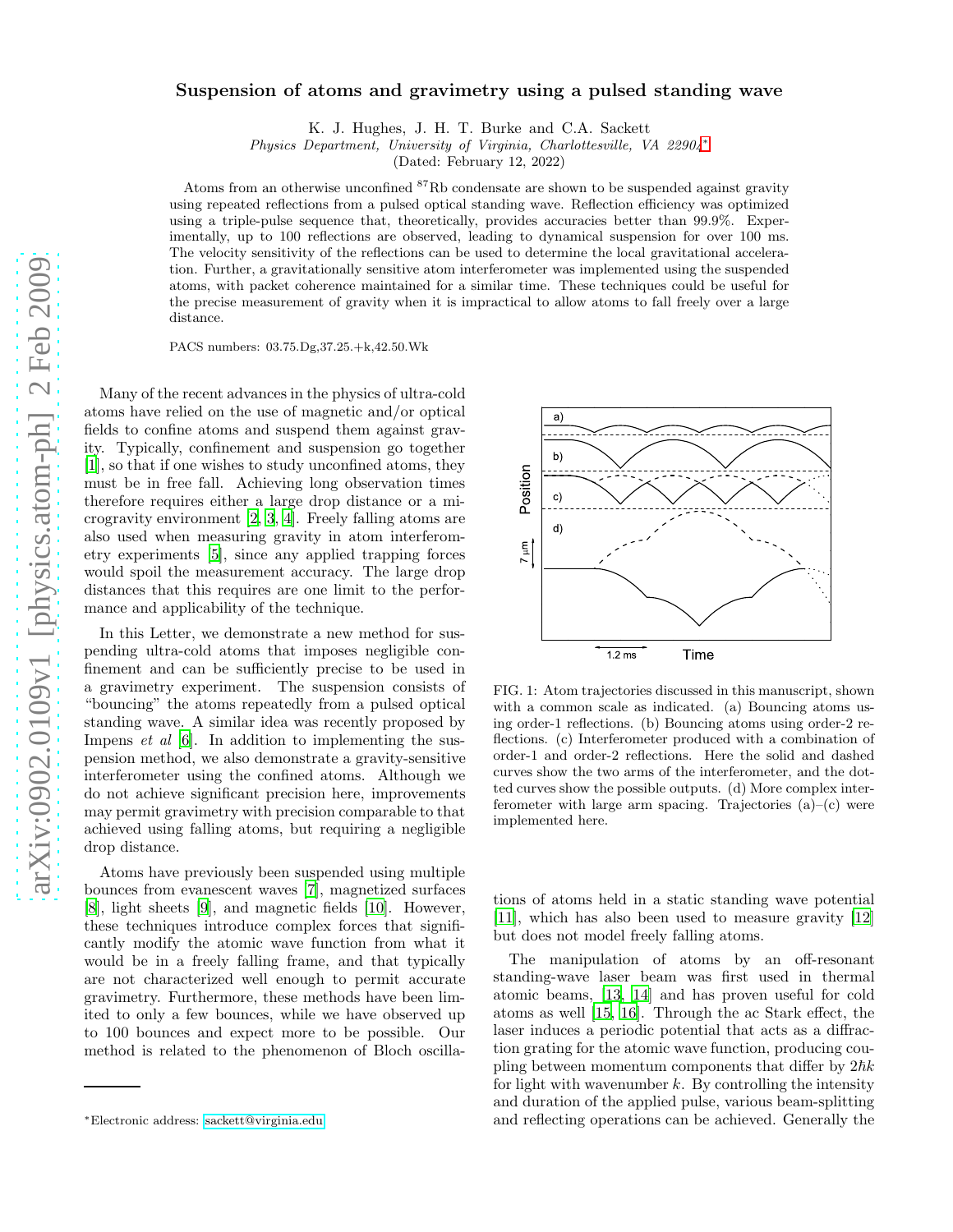## Suspension of atoms and gravimetry using a pulsed standing wave

K. J. Hughes, J. H. T. Burke and C.A. Sackett

*Physics Department, University of Virginia, Charlottesville, VA 22904*[∗](#page-0-0)

(Dated: February 12, 2022)

Atoms from an otherwise unconfined  ${}^{87}$ Rb condensate are shown to be suspended against gravity using repeated reflections from a pulsed optical standing wave. Reflection efficiency was optimized using a triple-pulse sequence that, theoretically, provides accuracies better than 99.9%. Experimentally, up to 100 reflections are observed, leading to dynamical suspension for over 100 ms. The velocity sensitivity of the reflections can be used to determine the local gravitational acceleration. Further, a gravitationally sensitive atom interferometer was implemented using the suspended atoms, with packet coherence maintained for a similar time. These techniques could be useful for the precise measurement of gravity when it is impractical to allow atoms to fall freely over a large distance.

PACS numbers: 03.75.Dg,37.25.+k,42.50.Wk

Many of the recent advances in the physics of ultra-cold atoms have relied on the use of magnetic and/or optical fields to confine atoms and suspend them against gravity. Typically, confinement and suspension go together [\[1\]](#page-4-0), so that if one wishes to study unconfined atoms, they must be in free fall. Achieving long observation times therefore requires either a large drop distance or a microgravity environment [\[2,](#page-4-1) [3,](#page-4-2) [4](#page-4-3)]. Freely falling atoms are also used when measuring gravity in atom interferometry experiments [\[5\]](#page-4-4), since any applied trapping forces would spoil the measurement accuracy. The large drop distances that this requires are one limit to the performance and applicability of the technique.

In this Letter, we demonstrate a new method for suspending ultra-cold atoms that imposes negligible confinement and can be sufficiently precise to be used in a gravimetry experiment. The suspension consists of "bouncing" the atoms repeatedly from a pulsed optical standing wave. A similar idea was recently proposed by Impens et al [\[6\]](#page-4-5). In addition to implementing the suspension method, we also demonstrate a gravity-sensitive interferometer using the confined atoms. Although we do not achieve significant precision here, improvements may permit gravimetry with precision comparable to that achieved using falling atoms, but requiring a negligible drop distance.

Atoms have previously been suspended using multiple bounces from evanescent waves [\[7\]](#page-4-6), magnetized surfaces [\[8\]](#page-4-7), light sheets [\[9\]](#page-4-8), and magnetic fields [\[10\]](#page-4-9). However, these techniques introduce complex forces that significantly modify the atomic wave function from what it would be in a freely falling frame, and that typically are not characterized well enough to permit accurate gravimetry. Furthermore, these methods have been limited to only a few bounces, while we have observed up to 100 bounces and expect more to be possible. Our method is related to the phenomenon of Bloch oscilla-



FIG. 1: Atom trajectories discussed in this manuscript, shown with a common scale as indicated. (a) Bouncing atoms using order-1 reflections. (b) Bouncing atoms using order-2 reflections. (c) Interferometer produced with a combination of order-1 and order-2 reflections. Here the solid and dashed curves show the two arms of the interferometer, and the dotted curves show the possible outputs. (d) More complex interferometer with large arm spacing. Trajectories (a)–(c) were implemented here.

tions of atoms held in a static standing wave potential [\[11\]](#page-4-10), which has also been used to measure gravity [\[12](#page-4-11)] but does not model freely falling atoms.

The manipulation of atoms by an off-resonant standing-wave laser beam was first used in thermal atomic beams, [\[13,](#page-4-12) [14\]](#page-4-13) and has proven useful for cold atoms as well [\[15,](#page-4-14) [16\]](#page-4-15). Through the ac Stark effect, the laser induces a periodic potential that acts as a diffraction grating for the atomic wave function, producing coupling between momentum components that differ by  $2\hbar k$ for light with wavenumber  $k$ . By controlling the intensity and duration of the applied pulse, various beam-splitting and reflecting operations can be achieved. Generally the

<span id="page-0-0"></span><sup>∗</sup>Electronic address: [sackett@virginia.edu](mailto:sackett@virginia.edu)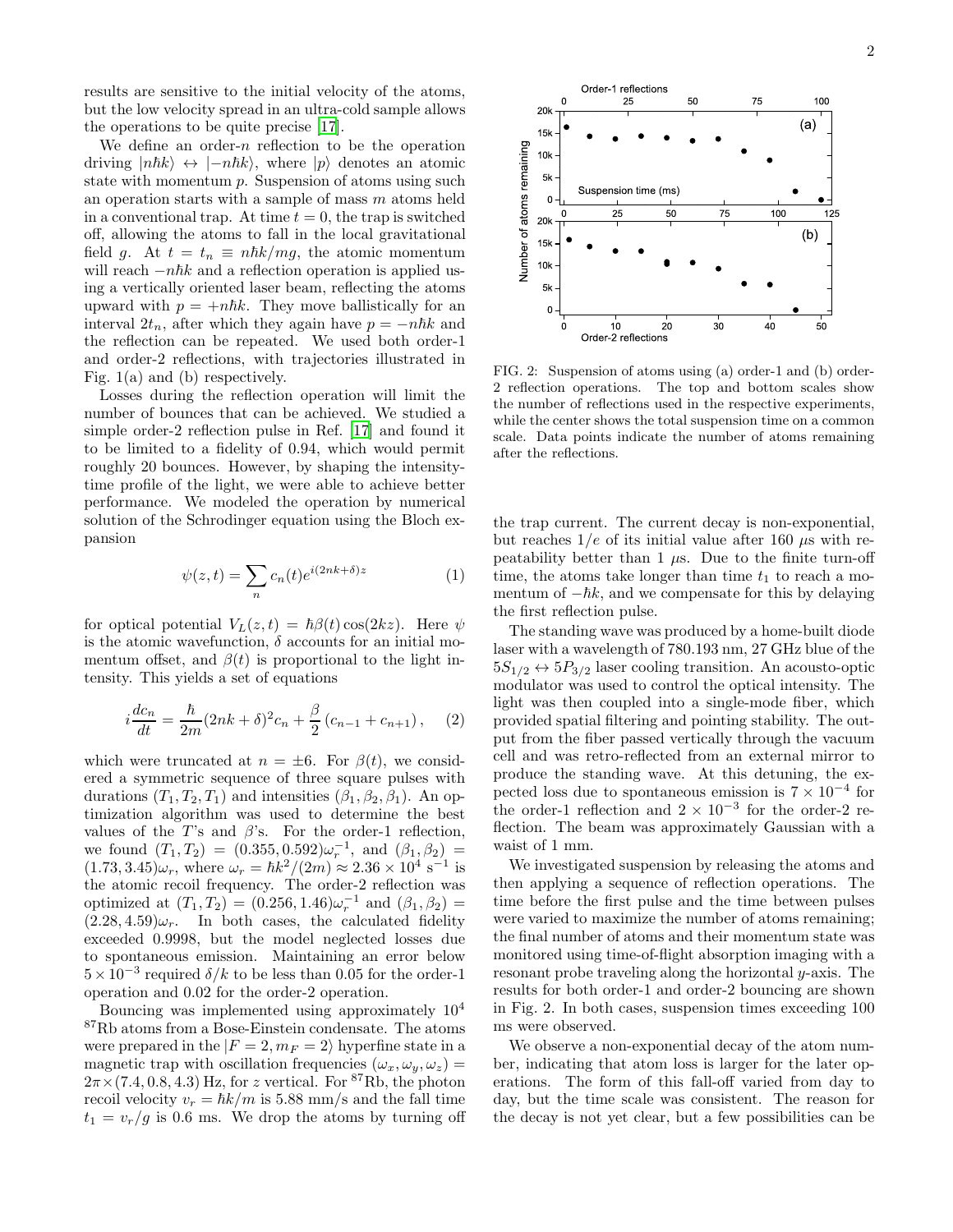results are sensitive to the initial velocity of the atoms, but the low velocity spread in an ultra-cold sample allows the operations to be quite precise [\[17\]](#page-4-16).

We define an order- $n$  reflection to be the operation driving  $|n\hbar k\rangle \leftrightarrow |-n\hbar k\rangle$ , where  $|p\rangle$  denotes an atomic state with momentum  $p$ . Suspension of atoms using such an operation starts with a sample of mass m atoms held in a conventional trap. At time  $t = 0$ , the trap is switched off, allowing the atoms to fall in the local gravitational field g. At  $t = t_n \equiv nhk/mg$ , the atomic momentum will reach  $-n\hbar k$  and a reflection operation is applied using a vertically oriented laser beam, reflecting the atoms upward with  $p = +n\hbar k$ . They move ballistically for an interval  $2t_n$ , after which they again have  $p = -n\hbar k$  and the reflection can be repeated. We used both order-1 and order-2 reflections, with trajectories illustrated in Fig. 1(a) and (b) respectively.

Losses during the reflection operation will limit the number of bounces that can be achieved. We studied a simple order-2 reflection pulse in Ref. [\[17](#page-4-16)] and found it to be limited to a fidelity of 0.94, which would permit roughly 20 bounces. However, by shaping the intensitytime profile of the light, we were able to achieve better performance. We modeled the operation by numerical solution of the Schrodinger equation using the Bloch expansion

$$
\psi(z,t) = \sum_{n} c_n(t) e^{i(2nk+\delta)z} \tag{1}
$$

for optical potential  $V_L(z,t) = \hbar \beta(t) \cos(2kz)$ . Here  $\psi$ is the atomic wavefunction,  $\delta$  accounts for an initial momentum offset, and  $\beta(t)$  is proportional to the light intensity. This yields a set of equations

<span id="page-1-0"></span>
$$
i\frac{dc_n}{dt} = \frac{\hbar}{2m}(2nk+\delta)^2 c_n + \frac{\beta}{2}(c_{n-1} + c_{n+1}), \quad (2)
$$

which were truncated at  $n = \pm 6$ . For  $\beta(t)$ , we considered a symmetric sequence of three square pulses with durations  $(T_1, T_2, T_1)$  and intensities  $(\beta_1, \beta_2, \beta_1)$ . An optimization algorithm was used to determine the best values of the T's and  $\beta$ 's. For the order-1 reflection, we found  $(T_1, T_2) = (0.355, 0.592)\omega_r^{-1}$ , and  $(\beta_1, \beta_2)$  $(1.73, 3.45)\omega_r$ , where  $\omega_r = \hbar k^2/(2m) \approx 2.36 \times 10^4 \text{ s}^{-1}$  is the atomic recoil frequency. The order-2 reflection was optimized at  $(T_1, T_2) = (0.256, 1.46)\omega_r^{-1}$  and  $(\beta_1, \beta_2) =$  $(2.28, 4.59)\omega_r$ . In both cases, the calculated fidelity exceeded 0.9998, but the model neglected losses due to spontaneous emission. Maintaining an error below  $5 \times 10^{-3}$  required  $\delta/k$  to be less than 0.05 for the order-1 operation and 0.02 for the order-2 operation.

Bouncing was implemented using approximately 10<sup>4</sup> <sup>87</sup>Rb atoms from a Bose-Einstein condensate. The atoms were prepared in the  $|F = 2, m_F = 2\rangle$  hyperfine state in a magnetic trap with oscillation frequencies  $(\omega_x, \omega_y, \omega_z)$  =  $2\pi \times (7.4, 0.8, 4.3)$  Hz, for z vertical. For <sup>87</sup>Rb, the photon recoil velocity  $v_r = \hbar k/m$  is 5.88 mm/s and the fall time  $t_1 = v_r/g$  is 0.6 ms. We drop the atoms by turning off



FIG. 2: Suspension of atoms using (a) order-1 and (b) order-2 reflection operations. The top and bottom scales show the number of reflections used in the respective experiments, while the center shows the total suspension time on a common scale. Data points indicate the number of atoms remaining after the reflections.

the trap current. The current decay is non-exponential, but reaches  $1/e$  of its initial value after 160  $\mu$ s with repeatability better than 1  $\mu$ s. Due to the finite turn-off time, the atoms take longer than time  $t_1$  to reach a momentum of  $-\hbar k$ , and we compensate for this by delaying the first reflection pulse.

The standing wave was produced by a home-built diode laser with a wavelength of 780.193 nm, 27 GHz blue of the  $5S_{1/2} \leftrightarrow 5P_{3/2}$  laser cooling transition. An acousto-optic modulator was used to control the optical intensity. The light was then coupled into a single-mode fiber, which provided spatial filtering and pointing stability. The output from the fiber passed vertically through the vacuum cell and was retro-reflected from an external mirror to produce the standing wave. At this detuning, the expected loss due to spontaneous emission is  $7 \times 10^{-4}$  for the order-1 reflection and  $2 \times 10^{-3}$  for the order-2 reflection. The beam was approximately Gaussian with a waist of 1 mm.

We investigated suspension by releasing the atoms and then applying a sequence of reflection operations. The time before the first pulse and the time between pulses were varied to maximize the number of atoms remaining; the final number of atoms and their momentum state was monitored using time-of-flight absorption imaging with a resonant probe traveling along the horizontal y-axis. The results for both order-1 and order-2 bouncing are shown in Fig. 2. In both cases, suspension times exceeding 100 ms were observed.

We observe a non-exponential decay of the atom number, indicating that atom loss is larger for the later operations. The form of this fall-off varied from day to day, but the time scale was consistent. The reason for the decay is not yet clear, but a few possibilities can be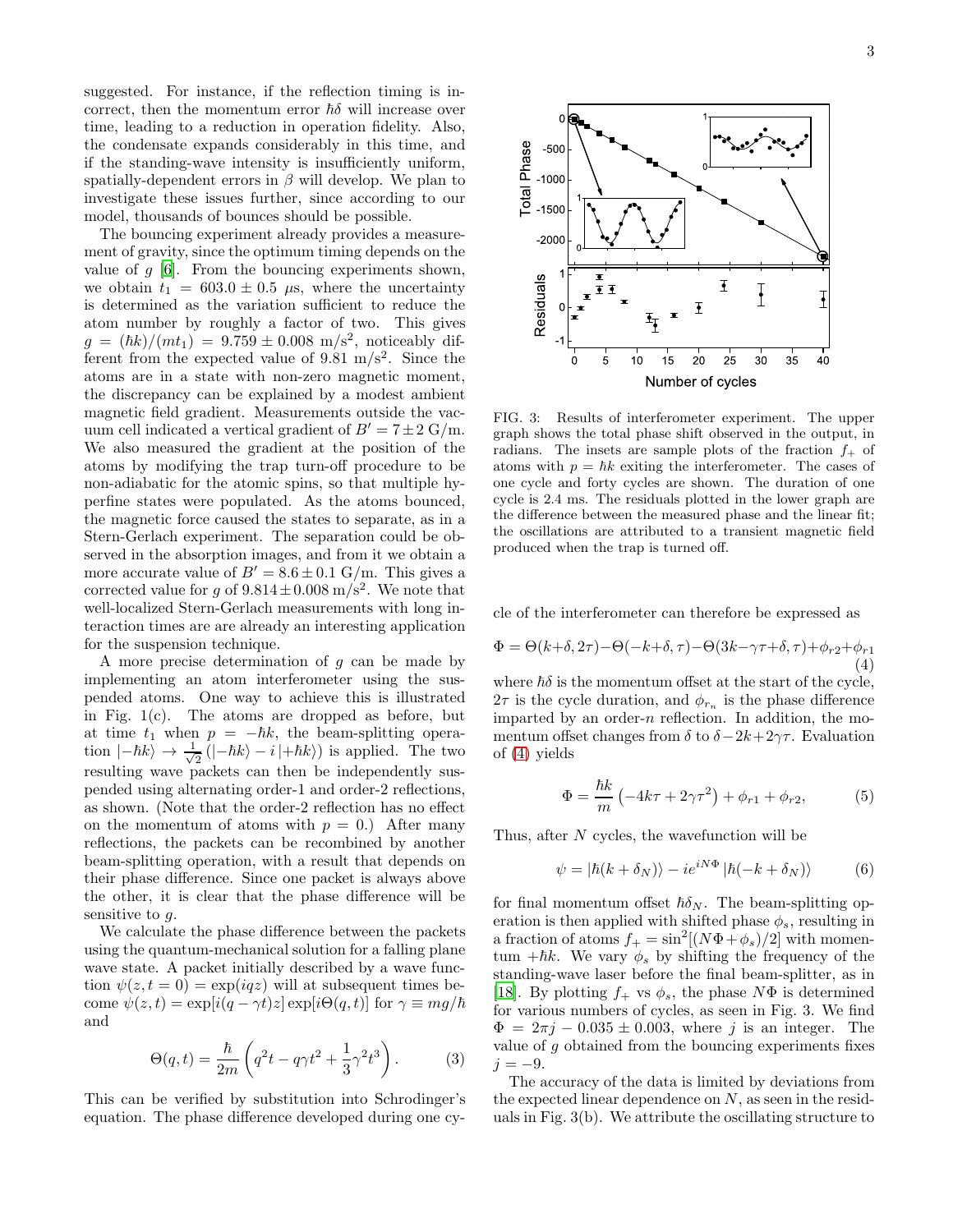suggested. For instance, if the reflection timing is incorrect, then the momentum error  $\hbar \delta$  will increase over time, leading to a reduction in operation fidelity. Also, the condensate expands considerably in this time, and if the standing-wave intensity is insufficiently uniform, spatially-dependent errors in  $\beta$  will develop. We plan to investigate these issues further, since according to our model, thousands of bounces should be possible.

The bouncing experiment already provides a measurement of gravity, since the optimum timing depends on the value of  $g$  [\[6](#page-4-5)]. From the bouncing experiments shown, we obtain  $t_1 = 603.0 \pm 0.5 \mu s$ , where the uncertainty is determined as the variation sufficient to reduce the atom number by roughly a factor of two. This gives  $g = (\hbar k)/(m t_1) = 9.759 \pm 0.008 \text{ m/s}^2$ , noticeably different from the expected value of 9.81  $m/s^2$ . Since the atoms are in a state with non-zero magnetic moment, the discrepancy can be explained by a modest ambient magnetic field gradient. Measurements outside the vacuum cell indicated a vertical gradient of  $B' = 7 \pm 2$  G/m. We also measured the gradient at the position of the atoms by modifying the trap turn-off procedure to be non-adiabatic for the atomic spins, so that multiple hyperfine states were populated. As the atoms bounced, the magnetic force caused the states to separate, as in a Stern-Gerlach experiment. The separation could be observed in the absorption images, and from it we obtain a more accurate value of  $B' = 8.6 \pm 0.1$  G/m. This gives a corrected value for g of  $9.814 \pm 0.008$  m/s<sup>2</sup>. We note that well-localized Stern-Gerlach measurements with long interaction times are are already an interesting application for the suspension technique.

A more precise determination of  $g$  can be made by implementing an atom interferometer using the suspended atoms. One way to achieve this is illustrated in Fig. 1(c). The atoms are dropped as before, but at time  $t_1$  when  $p = -\hbar k$ , the beam-splitting operation  $|-\hbar k\rangle \rightarrow \frac{1}{\sqrt{2}}$  $\frac{1}{2}$  $(|-\hbar k\rangle - i |+\hbar k\rangle)$  is applied. The two resulting wave packets can then be independently suspended using alternating order-1 and order-2 reflections, as shown. (Note that the order-2 reflection has no effect on the momentum of atoms with  $p = 0$ .) After many reflections, the packets can be recombined by another beam-splitting operation, with a result that depends on their phase difference. Since one packet is always above the other, it is clear that the phase difference will be sensitive to  $q$ .

We calculate the phase difference between the packets using the quantum-mechanical solution for a falling plane wave state. A packet initially described by a wave function  $\psi(z, t = 0) = \exp(iqz)$  will at subsequent times become  $\psi(z, t) = \exp[i(q - \gamma t)z] \exp[i\Theta(q, t)]$  for  $\gamma \equiv mg/\hbar$ and

$$
\Theta(q,t) = \frac{\hbar}{2m} \left( q^2 t - q \gamma t^2 + \frac{1}{3} \gamma^2 t^3 \right). \tag{3}
$$

This can be verified by substitution into Schrodinger's equation. The phase difference developed during one cy-



FIG. 3: Results of interferometer experiment. The upper graph shows the total phase shift observed in the output, in radians. The insets are sample plots of the fraction  $f_{+}$  of atoms with  $p = \hbar k$  exiting the interferometer. The cases of one cycle and forty cycles are shown. The duration of one cycle is 2.4 ms. The residuals plotted in the lower graph are the difference between the measured phase and the linear fit; the oscillations are attributed to a transient magnetic field produced when the trap is turned off.

cle of the interferometer can therefore be expressed as

<span id="page-2-0"></span>
$$
\Phi = \Theta(k+\delta, 2\tau) - \Theta(-k+\delta, \tau) - \Theta(3k-\gamma\tau+\delta, \tau) + \phi_{r2} + \phi_{r1}
$$
\n(4)

where  $\hbar \delta$  is the momentum offset at the start of the cycle,  $2\tau$  is the cycle duration, and  $\phi_{r_n}$  is the phase difference imparted by an order- $n$  reflection. In addition, the momentum offset changes from  $\delta$  to  $\delta - 2k + 2\gamma\tau$ . Evaluation of [\(4\)](#page-2-0) yields

$$
\Phi = \frac{\hbar k}{m} \left( -4k\tau + 2\gamma \tau^2 \right) + \phi_{r1} + \phi_{r2},
$$
 (5)

Thus, after  $N$  cycles, the wavefunction will be

$$
\psi = |\hbar(k + \delta_N)\rangle - ie^{iN\Phi} |\hbar(-k + \delta_N)\rangle \tag{6}
$$

for final momentum offset  $\hbar \delta_N$ . The beam-splitting operation is then applied with shifted phase  $\phi_s$ , resulting in a fraction of atoms  $f_+ = \sin^2[(N\Phi + \phi_s)/2]$  with momentum + $\hbar k$ . We vary  $\phi_s$  by shifting the frequency of the standing-wave laser before the final beam-splitter, as in [\[18\]](#page-4-17). By plotting  $f_+$  vs  $\phi_s$ , the phase  $N\Phi$  is determined for various numbers of cycles, as seen in Fig. 3. We find  $\Phi = 2\pi j - 0.035 \pm 0.003$ , where j is an integer. The value of  $g$  obtained from the bouncing experiments fixes  $j = -9$ .

The accuracy of the data is limited by deviations from the expected linear dependence on  $N$ , as seen in the residuals in Fig. 3(b). We attribute the oscillating structure to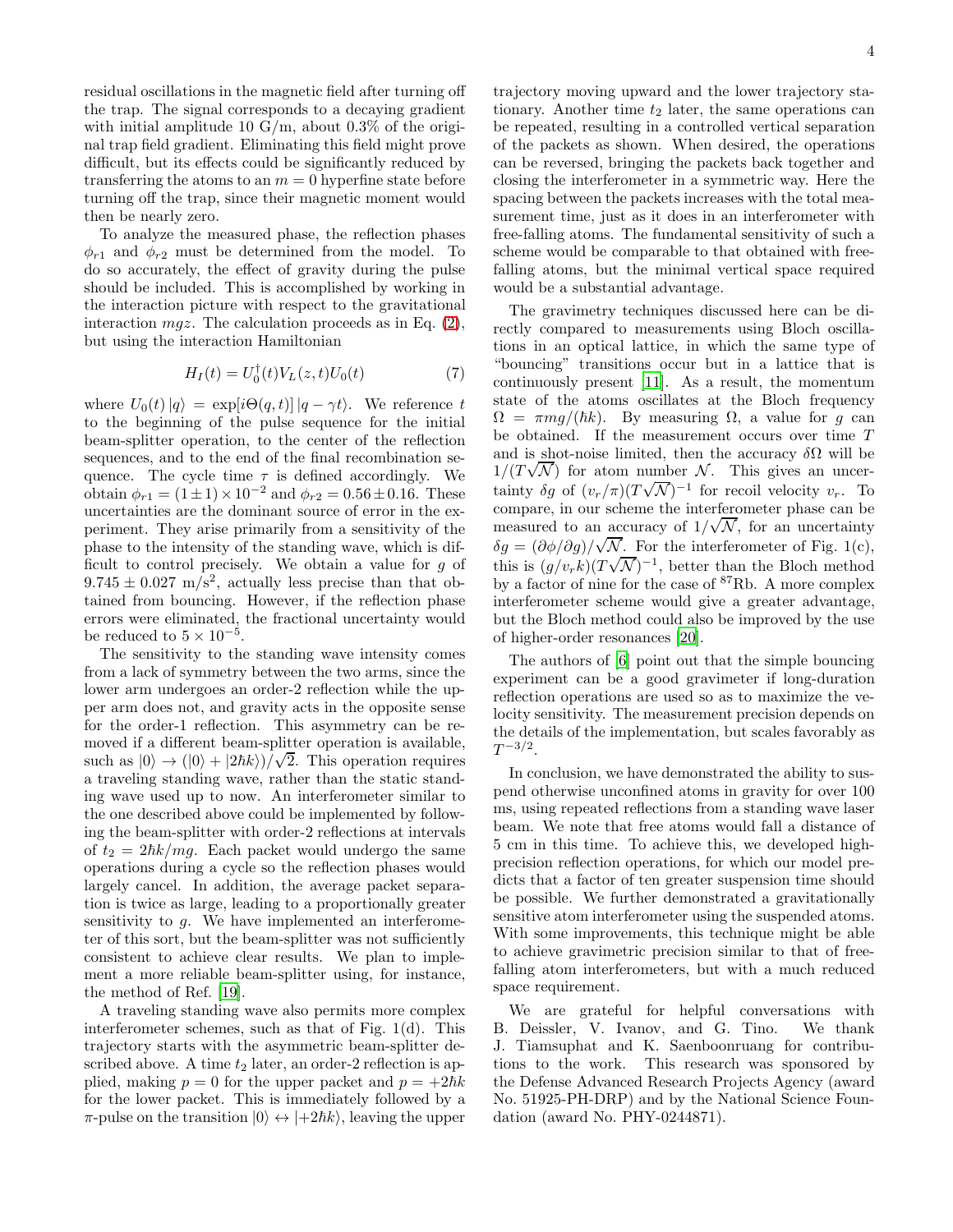residual oscillations in the magnetic field after turning off the trap. The signal corresponds to a decaying gradient with initial amplitude 10 G/m, about  $0.3\%$  of the original trap field gradient. Eliminating this field might prove difficult, but its effects could be significantly reduced by transferring the atoms to an  $m = 0$  hyperfine state before turning off the trap, since their magnetic moment would then be nearly zero.

To analyze the measured phase, the reflection phases  $\phi_{r1}$  and  $\phi_{r2}$  must be determined from the model. To do so accurately, the effect of gravity during the pulse should be included. This is accomplished by working in the interaction picture with respect to the gravitational interaction  $mgz$ . The calculation proceeds as in Eq. [\(2\)](#page-1-0), but using the interaction Hamiltonian

$$
H_I(t) = U_0^{\dagger}(t) V_L(z, t) U_0(t)
$$
\n(7)

where  $U_0(t)|q\rangle = \exp[i\Theta(q,t)] |q-\gamma t\rangle$ . We reference t to the beginning of the pulse sequence for the initial beam-splitter operation, to the center of the reflection sequences, and to the end of the final recombination sequence. The cycle time  $\tau$  is defined accordingly. We obtain  $\phi_{r1} = (1 \pm 1) \times 10^{-2}$  and  $\phi_{r2} = 0.56 \pm 0.16$ . These uncertainties are the dominant source of error in the experiment. They arise primarily from a sensitivity of the phase to the intensity of the standing wave, which is difficult to control precisely. We obtain a value for g of  $9.745 \pm 0.027$  m/s<sup>2</sup>, actually less precise than that obtained from bouncing. However, if the reflection phase errors were eliminated, the fractional uncertainty would be reduced to  $5 \times 10^{-5}$ .

The sensitivity to the standing wave intensity comes from a lack of symmetry between the two arms, since the lower arm undergoes an order-2 reflection while the upper arm does not, and gravity acts in the opposite sense for the order-1 reflection. This asymmetry can be removed if a different beam-splitter operation is available, such as  $|0\rangle \rightarrow (|0\rangle + |2\hbar k\rangle)/\sqrt{2}$ . This operation requires a traveling standing wave, rather than the static standing wave used up to now. An interferometer similar to the one described above could be implemented by following the beam-splitter with order-2 reflections at intervals of  $t_2 = 2\hbar k/mg$ . Each packet would undergo the same operations during a cycle so the reflection phases would largely cancel. In addition, the average packet separation is twice as large, leading to a proportionally greater sensitivity to  $g$ . We have implemented an interferometer of this sort, but the beam-splitter was not sufficiently consistent to achieve clear results. We plan to implement a more reliable beam-splitter using, for instance, the method of Ref. [\[19\]](#page-4-18).

A traveling standing wave also permits more complex interferometer schemes, such as that of Fig. 1(d). This trajectory starts with the asymmetric beam-splitter described above. A time  $t_2$  later, an order-2 reflection is applied, making  $p = 0$  for the upper packet and  $p = +2\hbar k$ for the lower packet. This is immediately followed by a  $\pi$ -pulse on the transition  $|0\rangle \leftrightarrow |+2\hbar k\rangle$ , leaving the upper

trajectory moving upward and the lower trajectory stationary. Another time  $t_2$  later, the same operations can be repeated, resulting in a controlled vertical separation of the packets as shown. When desired, the operations can be reversed, bringing the packets back together and closing the interferometer in a symmetric way. Here the spacing between the packets increases with the total measurement time, just as it does in an interferometer with free-falling atoms. The fundamental sensitivity of such a scheme would be comparable to that obtained with freefalling atoms, but the minimal vertical space required would be a substantial advantage.

The gravimetry techniques discussed here can be directly compared to measurements using Bloch oscillations in an optical lattice, in which the same type of "bouncing" transitions occur but in a lattice that is continuously present [\[11\]](#page-4-10). As a result, the momentum state of the atoms oscillates at the Bloch frequency  $\Omega = \pi mg/(\hbar k)$ . By measuring  $\Omega$ , a value for g can be obtained. If the measurement occurs over time T and is shot-noise limited, then the accuracy  $\delta\Omega$  will be  $1/(T\sqrt{N})$  for atom number N. This gives an uncertainty  $\delta g$  of  $(v_r/\pi)(T\sqrt{\mathcal{N}})^{-1}$  for recoil velocity  $v_r$ . To compare, in our scheme the interferometer phase can be measured to an accuracy of  $1/\sqrt{N}$ , for an uncertainty  $\delta g = (\partial \phi / \partial g) / \sqrt{N}$ . For the interferometer of Fig. 1(c), this is  $(g/v_r k)(T\sqrt{N})^{-1}$ , better than the Bloch method by a factor of nine for the case of <sup>87</sup>Rb. A more complex interferometer scheme would give a greater advantage, but the Bloch method could also be improved by the use of higher-order resonances [\[20\]](#page-4-19).

The authors of [\[6\]](#page-4-5) point out that the simple bouncing experiment can be a good gravimeter if long-duration reflection operations are used so as to maximize the velocity sensitivity. The measurement precision depends on the details of the implementation, but scales favorably as  $T^{-3/2}$ .

In conclusion, we have demonstrated the ability to suspend otherwise unconfined atoms in gravity for over 100 ms, using repeated reflections from a standing wave laser beam. We note that free atoms would fall a distance of 5 cm in this time. To achieve this, we developed highprecision reflection operations, for which our model predicts that a factor of ten greater suspension time should be possible. We further demonstrated a gravitationally sensitive atom interferometer using the suspended atoms. With some improvements, this technique might be able to achieve gravimetric precision similar to that of freefalling atom interferometers, but with a much reduced space requirement.

We are grateful for helpful conversations with B. Deissler, V. Ivanov, and G. Tino. We thank J. Tiamsuphat and K. Saenboonruang for contributions to the work. This research was sponsored by the Defense Advanced Research Projects Agency (award No. 51925-PH-DRP) and by the National Science Foundation (award No. PHY-0244871).